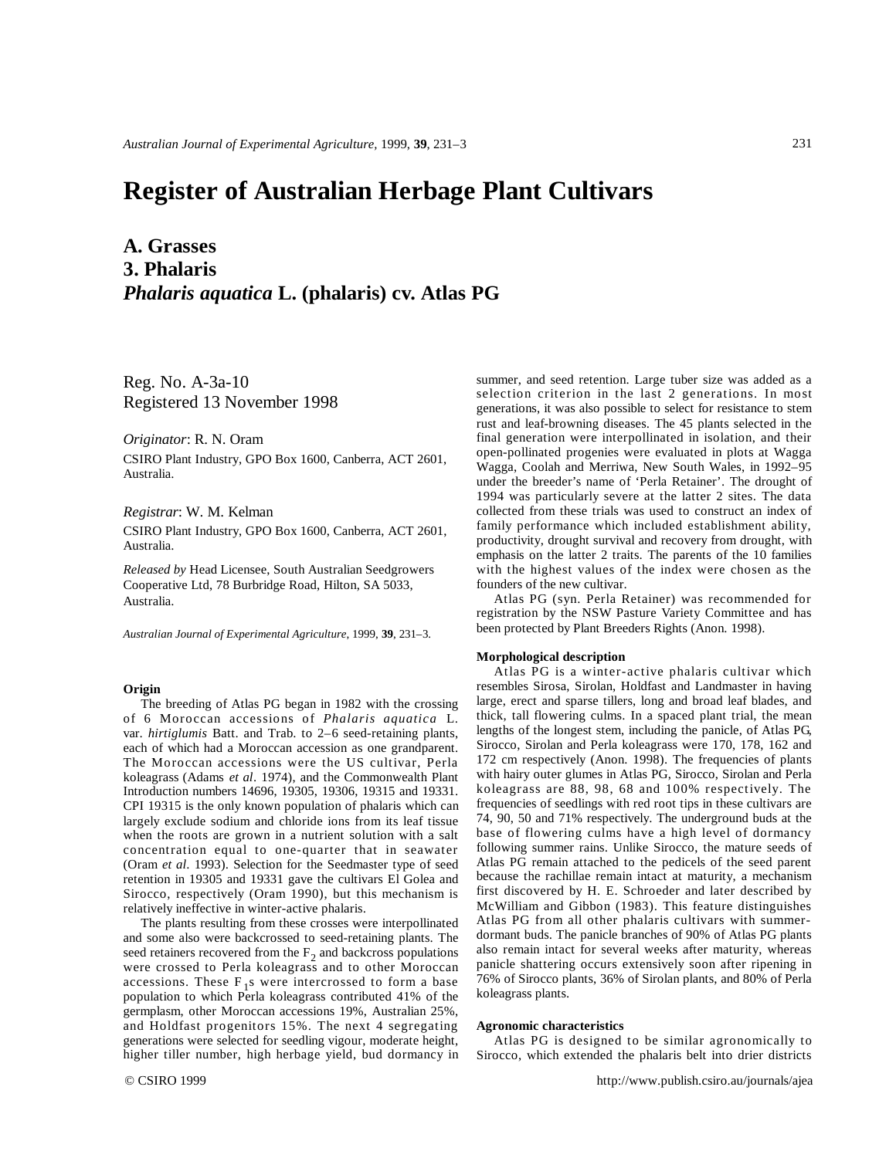# **Register of Australian Herbage Plant Cultivars**

# **A. Grasses 3. Phalaris**  *Phalaris aquatica* **L. (phalaris) cv. Atlas PG**

Reg. No. A-3a-10 Registered 13 November 1998

*Originator*: R. N. Oram

CSIRO Plant Industry, GPO Box 1600, Canberra, ACT 2601, Australia.

*Registrar*: W. M. Kelman

CSIRO Plant Industry, GPO Box 1600, Canberra, ACT 2601, Australia.

*Released by* Head Licensee, South Australian Seedgrowers Cooperative Ltd, 78 Burbridge Road, Hilton, SA 5033, Australia.

*Australian Journal of Experimental Agriculture*, 1999, **39**, 231–3.

### **Origin**

The breeding of Atlas PG began in 1982 with the crossing of 6 Moroccan accessions of *Phalaris aquatica* L. var. *hirtiglumis* Batt. and Trab. to 2–6 seed-retaining plants, each of which had a Moroccan accession as one grandparent. The Moroccan accessions were the US cultivar, Perla koleagrass (Adams *et al*. 1974), and the Commonwealth Plant Introduction numbers 14696, 19305, 19306, 19315 and 19331. CPI 19315 is the only known population of phalaris which can largely exclude sodium and chloride ions from its leaf tissue when the roots are grown in a nutrient solution with a salt concentration equal to one-quarter that in seawater (Oram *et al*. 1993). Selection for the Seedmaster type of seed retention in 19305 and 19331 gave the cultivars El Golea and Sirocco, respectively (Oram 1990), but this mechanism is relatively ineffective in winter-active phalaris.

The plants resulting from these crosses were interpollinated and some also were backcrossed to seed-retaining plants. The seed retainers recovered from the  $F_2$  and backcross populations were crossed to Perla koleagrass and to other Moroccan  $\arccosions$ . These  $F_1s$  were intercrossed to form a base population to which Perla koleagrass contributed 41% of the germplasm, other Moroccan accessions 19%, Australian 25%, and Holdfast progenitors 15%. The next 4 segregating generations were selected for seedling vigour, moderate height, higher tiller number, high herbage yield, bud dormancy in

summer, and seed retention. Large tuber size was added as a selection criterion in the last 2 generations. In most generations, it was also possible to select for resistance to stem rust and leaf-browning diseases. The 45 plants selected in the final generation were interpollinated in isolation, and their open-pollinated progenies were evaluated in plots at Wagga Wagga, Coolah and Merriwa, New South Wales, in 1992–95 under the breeder's name of 'Perla Retainer'. The drought of 1994 was particularly severe at the latter 2 sites. The data collected from these trials was used to construct an index of family performance which included establishment ability, productivity, drought survival and recovery from drought, with emphasis on the latter 2 traits. The parents of the 10 families with the highest values of the index were chosen as the founders of the new cultivar.

Atlas PG (syn. Perla Retainer) was recommended for registration by the NSW Pasture Variety Committee and has been protected by Plant Breeders Rights (Anon. 1998).

### **Morphological description**

Atlas PG is a winter-active phalaris cultivar which resembles Sirosa, Sirolan, Holdfast and Landmaster in having large, erect and sparse tillers, long and broad leaf blades, and thick, tall flowering culms. In a spaced plant trial, the mean lengths of the longest stem, including the panicle, of Atlas PG, Sirocco, Sirolan and Perla koleagrass were 170, 178, 162 and 172 cm respectively (Anon. 1998). The frequencies of plants with hairy outer glumes in Atlas PG, Sirocco, Sirolan and Perla koleagrass are 88, 98, 68 and 100% respectively. The frequencies of seedlings with red root tips in these cultivars are 74, 90, 50 and 71% respectively. The underground buds at the base of flowering culms have a high level of dormancy following summer rains. Unlike Sirocco, the mature seeds of Atlas PG remain attached to the pedicels of the seed parent because the rachillae remain intact at maturity, a mechanism first discovered by H. E. Schroeder and later described by McWilliam and Gibbon (1983). This feature distinguishes Atlas PG from all other phalaris cultivars with summerdormant buds. The panicle branches of 90% of Atlas PG plants also remain intact for several weeks after maturity, whereas panicle shattering occurs extensively soon after ripening in 76% of Sirocco plants, 36% of Sirolan plants, and 80% of Perla koleagrass plants.

#### **Agronomic characteristics**

Atlas PG is designed to be similar agronomically to Sirocco, which extended the phalaris belt into drier districts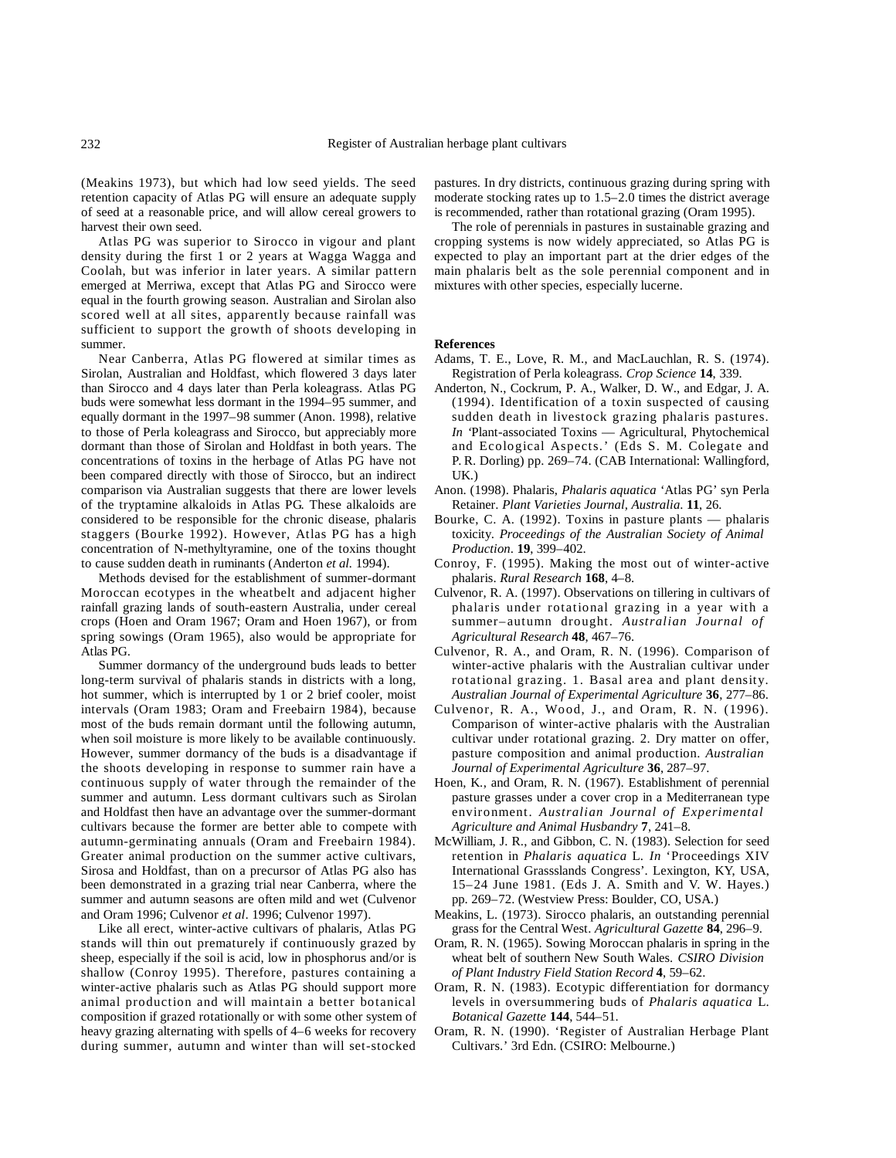(Meakins 1973), but which had low seed yields. The seed retention capacity of Atlas PG will ensure an adequate supply of seed at a reasonable price, and will allow cereal growers to harvest their own seed.

Atlas PG was superior to Sirocco in vigour and plant density during the first 1 or 2 years at Wagga Wagga and Coolah, but was inferior in later years. A similar pattern emerged at Merriwa, except that Atlas PG and Sirocco were equal in the fourth growing season. Australian and Sirolan also scored well at all sites, apparently because rainfall was sufficient to support the growth of shoots developing in summer.

Near Canberra, Atlas PG flowered at similar times as Sirolan, Australian and Holdfast, which flowered 3 days later than Sirocco and 4 days later than Perla koleagrass. Atlas PG buds were somewhat less dormant in the 1994–95 summer, and equally dormant in the 1997–98 summer (Anon. 1998), relative to those of Perla koleagrass and Sirocco, but appreciably more dormant than those of Sirolan and Holdfast in both years. The concentrations of toxins in the herbage of Atlas PG have not been compared directly with those of Sirocco, but an indirect comparison via Australian suggests that there are lower levels of the tryptamine alkaloids in Atlas PG. These alkaloids are considered to be responsible for the chronic disease, phalaris staggers (Bourke 1992). However, Atlas PG has a high concentration of N-methyltyramine, one of the toxins thought to cause sudden death in ruminants (Anderton *et al.* 1994).

Methods devised for the establishment of summer-dormant Moroccan ecotypes in the wheatbelt and adjacent higher rainfall grazing lands of south-eastern Australia, under cereal crops (Hoen and Oram 1967; Oram and Hoen 1967), or from spring sowings (Oram 1965), also would be appropriate for Atlas PG.

Summer dormancy of the underground buds leads to better long-term survival of phalaris stands in districts with a long, hot summer, which is interrupted by 1 or 2 brief cooler, moist intervals (Oram 1983; Oram and Freebairn 1984), because most of the buds remain dormant until the following autumn, when soil moisture is more likely to be available continuously. However, summer dormancy of the buds is a disadvantage if the shoots developing in response to summer rain have a continuous supply of water through the remainder of the summer and autumn. Less dormant cultivars such as Sirolan and Holdfast then have an advantage over the summer-dormant cultivars because the former are better able to compete with autumn-germinating annuals (Oram and Freebairn 1984). Greater animal production on the summer active cultivars, Sirosa and Holdfast, than on a precursor of Atlas PG also has been demonstrated in a grazing trial near Canberra, where the summer and autumn seasons are often mild and wet (Culvenor and Oram 1996; Culvenor *et al*. 1996; Culvenor 1997).

Like all erect, winter-active cultivars of phalaris, Atlas PG stands will thin out prematurely if continuously grazed by sheep, especially if the soil is acid, low in phosphorus and/or is shallow (Conroy 1995). Therefore, pastures containing a winter-active phalaris such as Atlas PG should support more animal production and will maintain a better botanical composition if grazed rotationally or with some other system of heavy grazing alternating with spells of 4–6 weeks for recovery during summer, autumn and winter than will set-stocked

pastures. In dry districts, continuous grazing during spring with moderate stocking rates up to 1.5–2.0 times the district average is recommended, rather than rotational grazing (Oram 1995).

The role of perennials in pastures in sustainable grazing and cropping systems is now widely appreciated, so Atlas PG is expected to play an important part at the drier edges of the main phalaris belt as the sole perennial component and in mixtures with other species, especially lucerne.

## **References**

- Adams, T. E., Love, R. M., and MacLauchlan, R. S. (1974). Registration of Perla koleagrass. *Crop Science* **14**, 339.
- Anderton, N., Cockrum, P. A., Walker, D. W., and Edgar, J. A. (1994). Identification of a toxin suspected of causing sudden death in livestock grazing phalaris pastures. *In '*Plant-associated Toxins — Agricultural, Phytochemical and Ecological Aspects.' (Eds S. M. Colegate and P. R. Dorling) pp. 269–74. (CAB International: Wallingford,  $I$  $K$ .)
- Anon. (1998). Phalaris, *Phalaris aquatica* 'Atlas PG' syn Perla Retainer. *Plant Varieties Journal, Australia*. **11**, 26.
- Bourke, C. A. (1992). Toxins in pasture plants phalaris toxicity. *Proceedings of the Australian Society of Animal Production*. **19**, 399–402.
- Conroy, F. (1995). Making the most out of winter-active phalaris. *Rural Research* **168**, 4–8.
- Culvenor, R. A. (1997). Observations on tillering in cultivars of phalaris under rotational grazing in a year with a summer–autumn drought. *Australian Journal of Agricultural Research* **48**, 467–76.
- Culvenor, R. A., and Oram, R. N. (1996). Comparison of winter-active phalaris with the Australian cultivar under rotational grazing. 1. Basal area and plant density. *Australian Journal of Experimental Agriculture* **36**, 277–86.
- Culvenor, R. A., Wood, J., and Oram, R. N. (1996). Comparison of winter-active phalaris with the Australian cultivar under rotational grazing. 2. Dry matter on offer, pasture composition and animal production. *Australian Journal of Experimental Agriculture* **36**, 287–97.
- Hoen, K., and Oram, R. N. (1967). Establishment of perennial pasture grasses under a cover crop in a Mediterranean type environment. *Australian Journal of Experimental Agriculture and Animal Husbandry* **7**, 241–8.
- McWilliam, J. R., and Gibbon, C. N. (1983). Selection for seed retention in *Phalaris aquatica* L. *In* 'Proceedings XIV International Grassslands Congress'. Lexington, KY, USA, 15–24 June 1981. (Eds J. A. Smith and V. W. Hayes.) pp. 269–72. (Westview Press: Boulder, CO, USA.)
- Meakins, L. (1973). Sirocco phalaris, an outstanding perennial grass for the Central West. *Agricultural Gazette* **84**, 296–9.
- Oram, R. N. (1965). Sowing Moroccan phalaris in spring in the wheat belt of southern New South Wales. *CSIRO Division of Plant Industry Field Station Record* **4**, 59–62.
- Oram, R. N. (1983). Ecotypic differentiation for dormancy levels in oversummering buds of *Phalaris aquatica* L. *Botanical Gazette* **144**, 544–51.
- Oram, R. N. (1990). 'Register of Australian Herbage Plant Cultivars.' 3rd Edn. (CSIRO: Melbourne.)